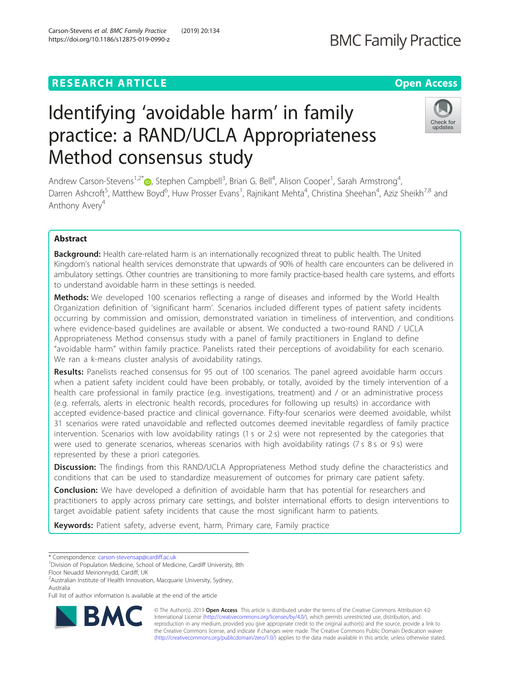### **RESEARCH ARTICLE Example 2014 12:30 The Contract of Contract ACCESS**

# Identifying 'avoidable harm' in family practice: a RAND/UCLA Appropriateness Method consensus study

Andrew Carson-Stevens<sup>1[,](http://orcid.org/0000-0002-7580-7699)2\*</sup> D, Stephen Campbell<sup>3</sup>, Brian G. Bell<sup>4</sup>, Alison Cooper<sup>1</sup>, Sarah Armstrong<sup>4</sup> , Darren Ashcroft<sup>5</sup>, Matthew Boyd<sup>6</sup>, Huw Prosser Evans<sup>1</sup>, Rajnikant Mehta<sup>4</sup>, Christina Sheehan<sup>4</sup>, Aziz Sheikh<sup>7,8</sup> and Anthony Avery<sup>4</sup>

### Abstract

**Background:** Health care-related harm is an internationally recognized threat to public health. The United Kingdom's national health services demonstrate that upwards of 90% of health care encounters can be delivered in ambulatory settings. Other countries are transitioning to more family practice-based health care systems, and efforts to understand avoidable harm in these settings is needed.

**Methods:** We developed 100 scenarios reflecting a range of diseases and informed by the World Health Organization definition of 'significant harm'. Scenarios included different types of patient safety incidents occurring by commission and omission, demonstrated variation in timeliness of intervention, and conditions where evidence-based guidelines are available or absent. We conducted a two-round RAND / UCLA Appropriateness Method consensus study with a panel of family practitioners in England to define "avoidable harm" within family practice. Panelists rated their perceptions of avoidability for each scenario. We ran a k-means cluster analysis of avoidability ratings.

Results: Panelists reached consensus for 95 out of 100 scenarios. The panel agreed avoidable harm occurs when a patient safety incident could have been probably, or totally, avoided by the timely intervention of a health care professional in family practice (e.g. investigations, treatment) and / or an administrative process (e.g. referrals, alerts in electronic health records, procedures for following up results) in accordance with accepted evidence-based practice and clinical governance. Fifty-four scenarios were deemed avoidable, whilst 31 scenarios were rated unavoidable and reflected outcomes deemed inevitable regardless of family practice intervention. Scenarios with low avoidability ratings (1 s or 2 s) were not represented by the categories that were used to generate scenarios, whereas scenarios with high avoidability ratings (7 s 8 s or 9 s) were represented by these a priori categories.

**Discussion:** The findings from this RAND/UCLA Appropriateness Method study define the characteristics and conditions that can be used to standardize measurement of outcomes for primary care patient safety.

**Conclusion:** We have developed a definition of avoidable harm that has potential for researchers and practitioners to apply across primary care settings, and bolster international efforts to design interventions to target avoidable patient safety incidents that cause the most significant harm to patients.

Keywords: Patient safety, adverse event, harm, Primary care, Family practice

\* Correspondence: [carson-stevensap@cardiff.ac.uk](mailto:carson-stevensap@cardiff.ac.uk) <sup>1</sup>

© The Author(s). 2019 **Open Access** This article is distributed under the terms of the Creative Commons Attribution 4.0 International License [\(http://creativecommons.org/licenses/by/4.0/](http://creativecommons.org/licenses/by/4.0/)), which permits unrestricted use, distribution, and reproduction in any medium, provided you give appropriate credit to the original author(s) and the source, provide a link to the Creative Commons license, and indicate if changes were made. The Creative Commons Public Domain Dedication waiver [\(http://creativecommons.org/publicdomain/zero/1.0/](http://creativecommons.org/publicdomain/zero/1.0/)) applies to the data made available in this article, unless otherwise stated.





# **BMC Family Practice**

<sup>&</sup>lt;sup>1</sup> Division of Population Medicine, School of Medicine, Cardiff University, 8th Floor Neuadd Meirionnydd, Cardiff, UK

<sup>&</sup>lt;sup>2</sup> Australian Institute of Health Innovation, Macquarie University, Sydney, Australia

Full list of author information is available at the end of the article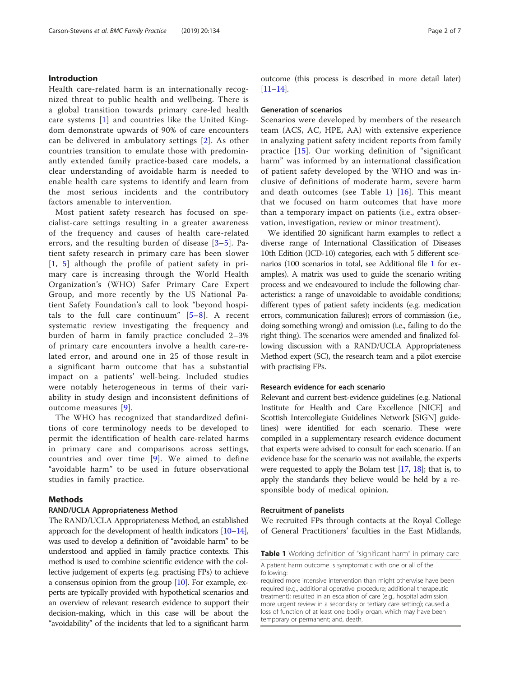#### Introduction

Health care-related harm is an internationally recognized threat to public health and wellbeing. There is a global transition towards primary care-led health care systems [\[1](#page-6-0)] and countries like the United Kingdom demonstrate upwards of 90% of care encounters can be delivered in ambulatory settings [[2\]](#page-6-0). As other countries transition to emulate those with predominantly extended family practice-based care models, a clear understanding of avoidable harm is needed to enable health care systems to identify and learn from the most serious incidents and the contributory factors amenable to intervention.

Most patient safety research has focused on specialist-care settings resulting in a greater awareness of the frequency and causes of health care-related errors, and the resulting burden of disease [[3](#page-6-0)–[5\]](#page-6-0). Patient safety research in primary care has been slower [[1](#page-6-0), [5](#page-6-0)] although the profile of patient safety in primary care is increasing through the World Health Organization's (WHO) Safer Primary Care Expert Group, and more recently by the US National Patient Safety Foundation's call to look "beyond hospitals to the full care continuum" [[5](#page-6-0)–[8](#page-6-0)]. A recent systematic review investigating the frequency and burden of harm in family practice concluded 2–3% of primary care encounters involve a health care-related error, and around one in 25 of those result in a significant harm outcome that has a substantial impact on a patients' well-being. Included studies were notably heterogeneous in terms of their variability in study design and inconsistent definitions of outcome measures [\[9](#page-6-0)].

The WHO has recognized that standardized definitions of core terminology needs to be developed to permit the identification of health care-related harms in primary care and comparisons across settings, countries and over time [[9\]](#page-6-0). We aimed to define "avoidable harm" to be used in future observational studies in family practice.

#### Methods

#### RAND/UCLA Appropriateness Method

The RAND/UCLA Appropriateness Method, an established approach for the development of health indicators [[10](#page-6-0)–[14](#page-6-0)], was used to develop a definition of "avoidable harm" to be understood and applied in family practice contexts. This method is used to combine scientific evidence with the collective judgement of experts (e.g. practising FPs) to achieve a consensus opinion from the group [[10](#page-6-0)]. For example, experts are typically provided with hypothetical scenarios and an overview of relevant research evidence to support their decision-making, which in this case will be about the "avoidability" of the incidents that led to a significant harm outcome (this process is described in more detail later) [[11](#page-6-0)–[14](#page-6-0)].

#### Generation of scenarios

Scenarios were developed by members of the research team (ACS, AC, HPE, AA) with extensive experience in analyzing patient safety incident reports from family practice [[15](#page-6-0)]. Our working definition of "significant harm" was informed by an international classification of patient safety developed by the WHO and was inclusive of definitions of moderate harm, severe harm and death outcomes (see Table 1) [\[16\]](#page-6-0). This meant that we focused on harm outcomes that have more than a temporary impact on patients (i.e., extra observation, investigation, review or minor treatment).

We identified 20 significant harm examples to reflect a diverse range of International Classification of Diseases 10th Edition (ICD-10) categories, each with 5 different scenarios (100 scenarios in total, see Additional file [1](#page-5-0) for examples). A matrix was used to guide the scenario writing process and we endeavoured to include the following characteristics: a range of unavoidable to avoidable conditions; different types of patient safety incidents (e.g. medication errors, communication failures); errors of commission (i.e., doing something wrong) and omission (i.e., failing to do the right thing). The scenarios were amended and finalized following discussion with a RAND/UCLA Appropriateness Method expert (SC), the research team and a pilot exercise with practising FPs.

#### Research evidence for each scenario

Relevant and current best-evidence guidelines (e.g. National Institute for Health and Care Excellence [NICE] and Scottish Intercollegiate Guidelines Network [SIGN] guidelines) were identified for each scenario. These were compiled in a supplementary research evidence document that experts were advised to consult for each scenario. If an evidence base for the scenario was not available, the experts were requested to apply the Bolam test [\[17](#page-6-0), [18](#page-6-0)]; that is, to apply the standards they believe would be held by a responsible body of medical opinion.

#### Recruitment of panelists

We recruited FPs through contacts at the Royal College of General Practitioners' faculties in the East Midlands,

Table 1 Working definition of "significant harm" in primary care

A patient harm outcome is symptomatic with one or all of the following:

required more intensive intervention than might otherwise have been required (e.g., additional operative procedure; additional therapeutic treatment); resulted in an escalation of care (e.g., hospital admission, more urgent review in a secondary or tertiary care setting); caused a loss of function of at least one bodily organ, which may have been temporary or permanent; and, death.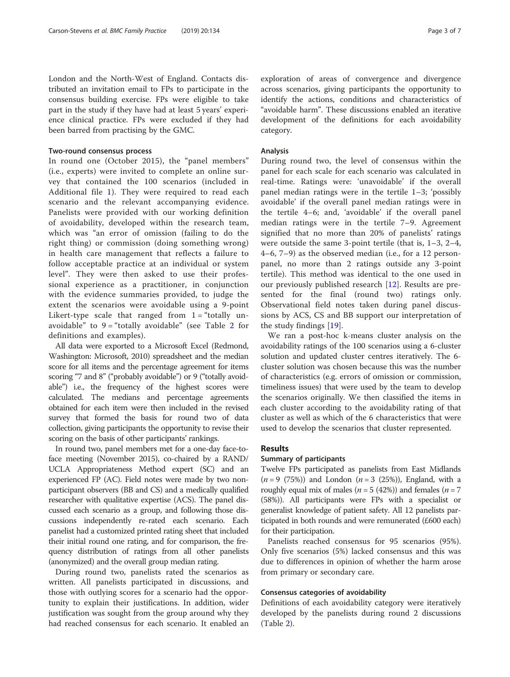London and the North-West of England. Contacts distributed an invitation email to FPs to participate in the consensus building exercise. FPs were eligible to take part in the study if they have had at least 5 years' experience clinical practice. FPs were excluded if they had been barred from practising by the GMC.

#### Two-round consensus process

In round one (October 2015), the "panel members" (i.e., experts) were invited to complete an online survey that contained the 100 scenarios (included in Additional file [1](#page-5-0)). They were required to read each scenario and the relevant accompanying evidence. Panelists were provided with our working definition of avoidability, developed within the research team, which was "an error of omission (failing to do the right thing) or commission (doing something wrong) in health care management that reflects a failure to follow acceptable practice at an individual or system level". They were then asked to use their professional experience as a practitioner, in conjunction with the evidence summaries provided, to judge the extent the scenarios were avoidable using a 9-point Likert-type scale that ranged from  $1 =$  "totally unavoidable" to  $9 =$  "totally avoidable" (see Table [2](#page-3-0) for definitions and examples).

All data were exported to a Microsoft Excel (Redmond, Washington: Microsoft, 2010) spreadsheet and the median score for all items and the percentage agreement for items scoring "7 and 8" ("probably avoidable") or 9 ("totally avoidable") i.e., the frequency of the highest scores were calculated. The medians and percentage agreements obtained for each item were then included in the revised survey that formed the basis for round two of data collection, giving participants the opportunity to revise their scoring on the basis of other participants' rankings.

In round two, panel members met for a one-day face-toface meeting (November 2015), co-chaired by a RAND/ UCLA Appropriateness Method expert (SC) and an experienced FP (AC). Field notes were made by two nonparticipant observers (BB and CS) and a medically qualified researcher with qualitative expertise (ACS). The panel discussed each scenario as a group, and following those discussions independently re-rated each scenario. Each panelist had a customized printed rating sheet that included their initial round one rating, and for comparison, the frequency distribution of ratings from all other panelists (anonymized) and the overall group median rating.

During round two, panelists rated the scenarios as written. All panelists participated in discussions, and those with outlying scores for a scenario had the opportunity to explain their justifications. In addition, wider justification was sought from the group around why they had reached consensus for each scenario. It enabled an exploration of areas of convergence and divergence across scenarios, giving participants the opportunity to identify the actions, conditions and characteristics of "avoidable harm". These discussions enabled an iterative development of the definitions for each avoidability category.

#### Analysis

During round two, the level of consensus within the panel for each scale for each scenario was calculated in real-time. Ratings were: 'unavoidable' if the overall panel median ratings were in the tertile 1–3; 'possibly avoidable' if the overall panel median ratings were in the tertile 4–6; and, 'avoidable' if the overall panel median ratings were in the tertile 7–9. Agreement signified that no more than 20% of panelists' ratings were outside the same 3-point tertile (that is, 1–3, 2–4, 4–6, 7–9) as the observed median (i.e., for a 12 personpanel, no more than 2 ratings outside any 3-point tertile). This method was identical to the one used in our previously published research [\[12](#page-6-0)]. Results are presented for the final (round two) ratings only. Observational field notes taken during panel discussions by ACS, CS and BB support our interpretation of the study findings [[19\]](#page-6-0).

We ran a post-hoc k-means cluster analysis on the avoidability ratings of the 100 scenarios using a 6-cluster solution and updated cluster centres iteratively. The 6 cluster solution was chosen because this was the number of characteristics (e.g. errors of omission or commission, timeliness issues) that were used by the team to develop the scenarios originally. We then classified the items in each cluster according to the avoidability rating of that cluster as well as which of the 6 characteristics that were used to develop the scenarios that cluster represented.

#### Results

#### Summary of participants

Twelve FPs participated as panelists from East Midlands  $(n = 9 (75\%)$  and London  $(n = 3 (25\%))$ , England, with a roughly equal mix of males ( $n = 5$  (42%)) and females ( $n = 7$ (58%)). All participants were FPs with a specialist or generalist knowledge of patient safety. All 12 panelists participated in both rounds and were remunerated (£600 each) for their participation.

Panelists reached consensus for 95 scenarios (95%). Only five scenarios (5%) lacked consensus and this was due to differences in opinion of whether the harm arose from primary or secondary care.

#### Consensus categories of avoidability

Definitions of each avoidability category were iteratively developed by the panelists during round 2 discussions (Table [2\)](#page-3-0).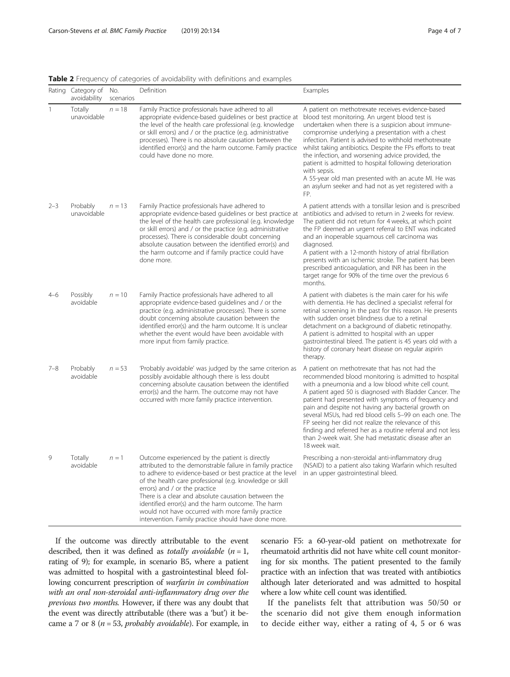<span id="page-3-0"></span>

|  |  |  | Table 2 Frequency of categories of avoidability with definitions and examples |
|--|--|--|-------------------------------------------------------------------------------|
|  |  |  |                                                                               |

|         | Rating Category of No.<br>avoidability | scenarios | Definition                                                                                                                                                                                                                                                                                                                                                                                                                                                                                      | Examples                                                                                                                                                                                                                                                                                                                                                                                                                                                                                                                                                                                          |
|---------|----------------------------------------|-----------|-------------------------------------------------------------------------------------------------------------------------------------------------------------------------------------------------------------------------------------------------------------------------------------------------------------------------------------------------------------------------------------------------------------------------------------------------------------------------------------------------|---------------------------------------------------------------------------------------------------------------------------------------------------------------------------------------------------------------------------------------------------------------------------------------------------------------------------------------------------------------------------------------------------------------------------------------------------------------------------------------------------------------------------------------------------------------------------------------------------|
| 1       | Totally<br>unavoidable                 | $n = 18$  | Family Practice professionals have adhered to all<br>appropriate evidence-based guidelines or best practice at<br>the level of the health care professional (e.g. knowledge<br>or skill errors) and / or the practice (e.g. administrative<br>processes). There is no absolute causation between the<br>identified error(s) and the harm outcome. Family practice<br>could have done no more.                                                                                                   | A patient on methotrexate receives evidence-based<br>blood test monitoring. An urgent blood test is<br>undertaken when there is a suspicion about immune-<br>compromise underlying a presentation with a chest<br>infection. Patient is advised to withhold methotrexate<br>whilst taking antibiotics. Despite the FPs efforts to treat<br>the infection, and worsening advice provided, the<br>patient is admitted to hospital following deterioration<br>with sepsis.<br>A 55-year old man presented with an acute MI. He was<br>an asylum seeker and had not as yet registered with a<br>FP.   |
| $2 - 3$ | Probably<br>unavoidable                | $n = 13$  | Family Practice professionals have adhered to<br>appropriate evidence-based quidelines or best practice at<br>the level of the health care professional (e.g. knowledge<br>or skill errors) and / or the practice (e.g. administrative<br>processes). There is considerable doubt concerning<br>absolute causation between the identified error(s) and<br>the harm outcome and if family practice could have<br>done more.                                                                      | A patient attends with a tonsillar lesion and is prescribed<br>antibiotics and advised to return in 2 weeks for review.<br>The patient did not return for 4 weeks, at which point<br>the FP deemed an urgent referral to ENT was indicated<br>and an inoperable squamous cell carcinoma was<br>diagnosed.<br>A patient with a 12-month history of atrial fibrillation<br>presents with an ischemic stroke. The patient has been<br>prescribed anticoagulation, and INR has been in the<br>target range for 90% of the time over the previous 6<br>months.                                         |
| $4 - 6$ | Possibly<br>avoidable                  | $n = 10$  | Family Practice professionals have adhered to all<br>appropriate evidence-based guidelines and / or the<br>practice (e.g. administrative processes). There is some<br>doubt concerning absolute causation between the<br>identified error(s) and the harm outcome. It is unclear<br>whether the event would have been avoidable with<br>more input from family practice.                                                                                                                        | A patient with diabetes is the main carer for his wife<br>with dementia. He has declined a specialist referral for<br>retinal screening in the past for this reason. He presents<br>with sudden onset blindness due to a retinal<br>detachment on a background of diabetic retinopathy.<br>A patient is admitted to hospital with an upper<br>gastrointestinal bleed. The patient is 45 years old with a<br>history of coronary heart disease on regular aspirin<br>therapy.                                                                                                                      |
| $7 - 8$ | Probably<br>avoidable                  | $n = 53$  | 'Probably avoidable' was judged by the same criterion as<br>possibly avoidable although there is less doubt<br>concerning absolute causation between the identified<br>error(s) and the harm. The outcome may not have<br>occurred with more family practice intervention.                                                                                                                                                                                                                      | A patient on methotrexate that has not had the<br>recommended blood monitoring is admitted to hospital<br>with a pneumonia and a low blood white cell count.<br>A patient aged 50 is diagnosed with Bladder Cancer. The<br>patient had presented with symptoms of frequency and<br>pain and despite not having any bacterial growth on<br>several MSUs, had red blood cells 5-99 on each one. The<br>FP seeing her did not realize the relevance of this<br>finding and referred her as a routine referral and not less<br>than 2-week wait. She had metastatic disease after an<br>18 week wait. |
| 9       | Totally<br>avoidable                   | $n=1$     | Outcome experienced by the patient is directly<br>attributed to the demonstrable failure in family practice<br>to adhere to evidence-based or best practice at the level<br>of the health care professional (e.g. knowledge or skill<br>errors) and / or the practice<br>There is a clear and absolute causation between the<br>identified error(s) and the harm outcome. The harm<br>would not have occurred with more family practice<br>intervention. Family practice should have done more. | Prescribing a non-steroidal anti-inflammatory drug<br>(NSAID) to a patient also taking Warfarin which resulted<br>in an upper gastrointestinal bleed.                                                                                                                                                                                                                                                                                                                                                                                                                                             |

If the outcome was directly attributable to the event described, then it was defined as *totally avoidable*  $(n = 1,$ rating of 9); for example, in scenario B5, where a patient was admitted to hospital with a gastrointestinal bleed following concurrent prescription of warfarin in combination with an oral non-steroidal anti-inflammatory drug over the previous two months. However, if there was any doubt that the event was directly attributable (there was a 'but') it became a 7 or 8 ( $n = 53$ , probably avoidable). For example, in

scenario F5: a 60-year-old patient on methotrexate for rheumatoid arthritis did not have white cell count monitoring for six months. The patient presented to the family practice with an infection that was treated with antibiotics although later deteriorated and was admitted to hospital where a low white cell count was identified.

If the panelists felt that attribution was 50/50 or the scenario did not give them enough information to decide either way, either a rating of 4, 5 or 6 was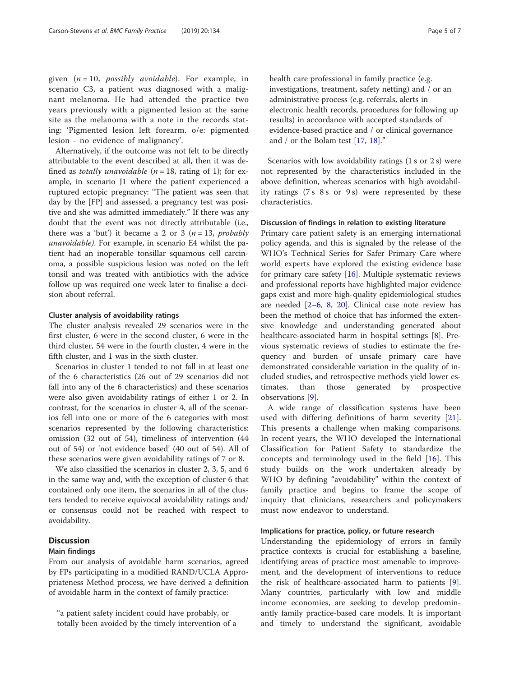given  $(n = 10, possibly a voidable)$ . For example, in scenario C3, a patient was diagnosed with a malignant melanoma. He had attended the practice two years previously with a pigmented lesion at the same site as the melanoma with a note in the records stating: 'Pigmented lesion left forearm. o/e: pigmented lesion - no evidence of malignancy'.

Alternatively, if the outcome was not felt to be directly attributable to the event described at all, then it was defined as *totally unavoidable*  $(n = 18$ , rating of 1); for example, in scenario J1 where the patient experienced a ruptured ectopic pregnancy: "The patient was seen that day by the [FP] and assessed, a pregnancy test was positive and she was admitted immediately." If there was any doubt that the event was not directly attributable (i.e., there was a 'but') it became a 2 or 3 ( $n = 13$ , probably unavoidable). For example, in scenario E4 whilst the patient had an inoperable tonsillar squamous cell carcinoma, a possible suspicious lesion was noted on the left tonsil and was treated with antibiotics with the advice follow up was required one week later to finalise a decision about referral.

#### Cluster analysis of avoidability ratings

The cluster analysis revealed 29 scenarios were in the first cluster, 6 were in the second cluster, 6 were in the third cluster, 54 were in the fourth cluster, 4 were in the fifth cluster, and 1 was in the sixth cluster.

Scenarios in cluster 1 tended to not fall in at least one of the 6 characteristics (26 out of 29 scenarios did not fall into any of the 6 characteristics) and these scenarios were also given avoidability ratings of either 1 or 2. In contrast, for the scenarios in cluster 4, all of the scenarios fell into one or more of the 6 categories with most scenarios represented by the following characteristics: omission (32 out of 54), timeliness of intervention (44 out of 54) or 'not evidence based' (40 out of 54). All of these scenarios were given avoidability ratings of 7 or 8.

We also classified the scenarios in cluster 2, 3, 5, and 6 in the same way and, with the exception of cluster 6 that contained only one item, the scenarios in all of the clusters tended to receive equivocal avoidability ratings and/ or consensus could not be reached with respect to avoidability.

#### **Discussion**

#### Main findings

From our analysis of avoidable harm scenarios, agreed by FPs participating in a modified RAND/UCLA Appropriateness Method process, we have derived a definition of avoidable harm in the context of family practice:

"a patient safety incident could have probably, or totally been avoided by the timely intervention of a health care professional in family practice (e.g. investigations, treatment, safety netting) and / or an administrative process (e.g. referrals, alerts in electronic health records, procedures for following up results) in accordance with accepted standards of evidence-based practice and / or clinical governance and / or the Bolam test [\[17](#page-6-0), [18](#page-6-0)]."

Scenarios with low avoidability ratings (1 s or 2 s) were not represented by the characteristics included in the above definition, whereas scenarios with high avoidability ratings  $(7 s 8 s or 9 s)$  were represented by these characteristics.

#### Discussion of findings in relation to existing literature

Primary care patient safety is an emerging international policy agenda, and this is signaled by the release of the WHO's Technical Series for Safer Primary Care where world experts have explored the existing evidence base for primary care safety  $[16]$  $[16]$  $[16]$ . Multiple systematic reviews and professional reports have highlighted major evidence gaps exist and more high-quality epidemiological studies are needed [[2](#page-6-0)–[6,](#page-6-0) [8,](#page-6-0) [20](#page-6-0)]. Clinical case note review has been the method of choice that has informed the extensive knowledge and understanding generated about healthcare-associated harm in hospital settings [\[8](#page-6-0)]. Previous systematic reviews of studies to estimate the frequency and burden of unsafe primary care have demonstrated considerable variation in the quality of included studies, and retrospective methods yield lower estimates, than those generated by prospective observations [[9\]](#page-6-0).

A wide range of classification systems have been used with differing definitions of harm severity [\[21](#page-6-0)]. This presents a challenge when making comparisons. In recent years, the WHO developed the International Classification for Patient Safety to standardize the concepts and terminology used in the field [[16](#page-6-0)]. This study builds on the work undertaken already by WHO by defining "avoidability" within the context of family practice and begins to frame the scope of inquiry that clinicians, researchers and policymakers must now endeavor to understand.

#### Implications for practice, policy, or future research

Understanding the epidemiology of errors in family practice contexts is crucial for establishing a baseline, identifying areas of practice most amenable to improvement, and the development of interventions to reduce the risk of healthcare-associated harm to patients [\[9](#page-6-0)]. Many countries, particularly with low and middle income economies, are seeking to develop predominantly family practice-based care models. It is important and timely to understand the significant, avoidable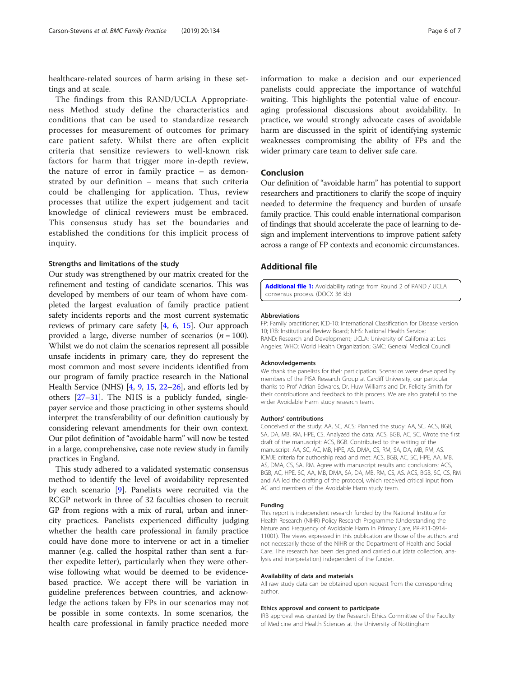<span id="page-5-0"></span>healthcare-related sources of harm arising in these settings and at scale.

The findings from this RAND/UCLA Appropriateness Method study define the characteristics and conditions that can be used to standardize research processes for measurement of outcomes for primary care patient safety. Whilst there are often explicit criteria that sensitize reviewers to well-known risk factors for harm that trigger more in-depth review, the nature of error in family practice – as demonstrated by our definition – means that such criteria could be challenging for application. Thus, review processes that utilize the expert judgement and tacit knowledge of clinical reviewers must be embraced. This consensus study has set the boundaries and established the conditions for this implicit process of inquiry.

#### Strengths and limitations of the study

Our study was strengthened by our matrix created for the refinement and testing of candidate scenarios. This was developed by members of our team of whom have completed the largest evaluation of family practice patient safety incidents reports and the most current systematic reviews of primary care safety [\[4](#page-6-0), [6,](#page-6-0) [15\]](#page-6-0). Our approach provided a large, diverse number of scenarios ( $n = 100$ ). Whilst we do not claim the scenarios represent all possible unsafe incidents in primary care, they do represent the most common and most severe incidents identified from our program of family practice research in the National Health Service (NHS) [[4,](#page-6-0) [9,](#page-6-0) [15,](#page-6-0) [22](#page-6-0)–[26](#page-6-0)], and efforts led by others [[27](#page-6-0)–[31](#page-6-0)]. The NHS is a publicly funded, singlepayer service and those practicing in other systems should interpret the transferability of our definition cautiously by considering relevant amendments for their own context. Our pilot definition of "avoidable harm" will now be tested in a large, comprehensive, case note review study in family practices in England.

This study adhered to a validated systematic consensus method to identify the level of avoidability represented by each scenario [[9\]](#page-6-0). Panelists were recruited via the RCGP network in three of 32 faculties chosen to recruit GP from regions with a mix of rural, urban and innercity practices. Panelists experienced difficulty judging whether the health care professional in family practice could have done more to intervene or act in a timelier manner (e.g. called the hospital rather than sent a further expedite letter), particularly when they were otherwise following what would be deemed to be evidencebased practice. We accept there will be variation in guideline preferences between countries, and acknowledge the actions taken by FPs in our scenarios may not be possible in some contexts. In some scenarios, the health care professional in family practice needed more

information to make a decision and our experienced panelists could appreciate the importance of watchful waiting. This highlights the potential value of encouraging professional discussions about avoidability. In practice, we would strongly advocate cases of avoidable harm are discussed in the spirit of identifying systemic weaknesses compromising the ability of FPs and the wider primary care team to deliver safe care.

#### Conclusion

Our definition of "avoidable harm" has potential to support researchers and practitioners to clarify the scope of inquiry needed to determine the frequency and burden of unsafe family practice. This could enable international comparison of findings that should accelerate the pace of learning to design and implement interventions to improve patient safety across a range of FP contexts and economic circumstances.

#### Additional file

[Additional file 1:](https://doi.org/10.1186/s12875-019-0990-z) Avoidability ratings from Round 2 of RAND / UCLA consensus process. (DOCX 36 kb)

#### Abbreviations

FP: Family practitioner; ICD-10: International Classification for Disease version 10; IRB: Institutional Review Board; NHS: National Health Service; RAND: Research and Development; UCLA: University of California at Los Angeles; WHO: World Health Organization; GMC: General Medical Council

#### Acknowledgements

We thank the panelists for their participation. Scenarios were developed by members of the PISA Research Group at Cardiff University, our particular thanks to Prof Adrian Edwards, Dr. Huw Williams and Dr. Felicity Smith for their contributions and feedback to this process. We are also grateful to the wider Avoidable Harm study research team.

#### Authors' contributions

Conceived of the study: AA, SC, ACS; Planned the study: AA, SC, ACS, BGB, SA, DA, MB, RM, HPE, CS. Analyzed the data: ACS, BGB, AC, SC. Wrote the first draft of the manuscript: ACS, BGB. Contributed to the writing of the manuscript: AA, SC, AC, MB, HPE, AS, DMA, CS, RM, SA, DA, MB, RM, AS. ICMJE criteria for authorship read and met: ACS, BGB, AC, SC, HPE, AA, MB, AS, DMA, CS, SA, RM. Agree with manuscript results and conclusions: ACS, BGB, AC, HPE, SC, AA, MB, DMA, SA, DA, MB, RM, CS, AS. ACS, BGB, SC, CS, RM and AA led the drafting of the protocol, which received critical input from AC and members of the Avoidable Harm study team.

#### Funding

This report is independent research funded by the National Institute for Health Research (NIHR) Policy Research Programme (Understanding the Nature and Frequency of Avoidable Harm in Primary Care, PR-R11-0914- 11001). The views expressed in this publication are those of the authors and not necessarily those of the NIHR or the Department of Health and Social Care. The research has been designed and carried out (data collection, analysis and interpretation) independent of the funder.

#### Availability of data and materials

All raw study data can be obtained upon request from the corresponding author.

#### Ethics approval and consent to participate

IRB approval was granted by the Research Ethics Committee of the Faculty of Medicine and Health Sciences at the University of Nottingham